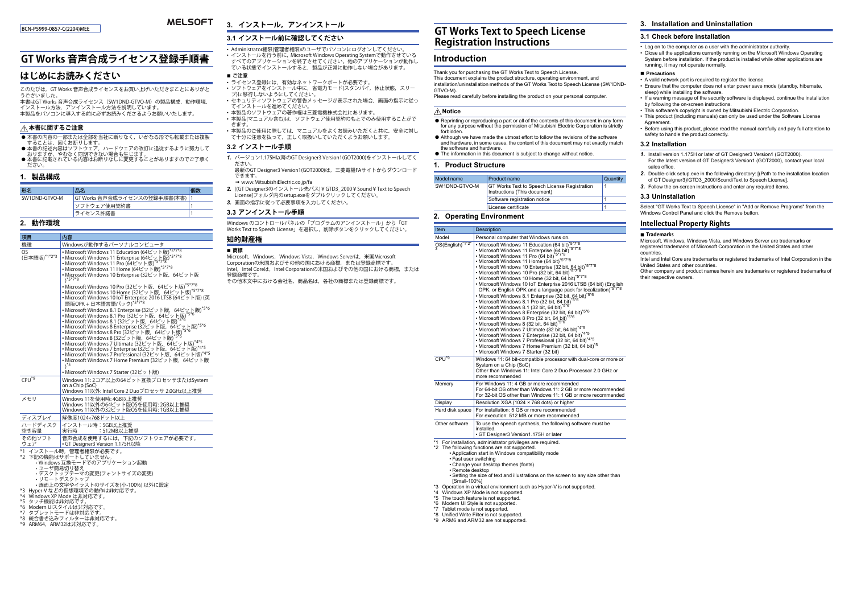#### BCN-P5999-0857-C(2204)MEE

#### **MELSOFT 3. インストール,アンインストール**

## **3.1 インストール前に確認してください**

# **GT Works 音声合成ライセンス登録手順書**

## **はじめにお読みください**

このたびは,GT Works 音声合成ライセンスをお買い上げいただきまことにありがとこったし ゆり

 本書はGT Works 音声合成ライセンス(SW1DND-GTVO-M)の製品構成,動作環境,インストール方法,アンインストール方法を説明しています。本製品をパソコンに導入する前に必ずお読みくださるようお願いいたします。

#### **本書に関するご注意**

- 本書の内容の一部または全部を当社に断りなく,いかなる形でも転載または複製
- することは, 固くお断りします。<br>● 本書の記述内容はソフトウェア, ハードウェアの改訂に追従するように努力して<br>- おりますが, やむなく同期できない場合も生じます。
- 本書に記載されている内容はお断りなしに変更することがありますのでご了承く ださい。

## **1. 製品構成**

| 形名            | 品名                              | 個数 |
|---------------|---------------------------------|----|
| SW1DND-GTVO-M | GT Works 音声合成ライセンスの登録手順書(本書)  1 |    |
|               | <sup>1</sup> ソフトウェア使用契約書        |    |
|               | うイセンス許諾書                        |    |

#### **2. 動作環境**

| 項目                                                                                                                                                                                                          | 内容                                                                                                                                                                                                                                                                                                                                                                                                                                                                                                                                                                                                                                                                                                                                                                                                                                                                                                                                                                                                                                                                                    |
|-------------------------------------------------------------------------------------------------------------------------------------------------------------------------------------------------------------|---------------------------------------------------------------------------------------------------------------------------------------------------------------------------------------------------------------------------------------------------------------------------------------------------------------------------------------------------------------------------------------------------------------------------------------------------------------------------------------------------------------------------------------------------------------------------------------------------------------------------------------------------------------------------------------------------------------------------------------------------------------------------------------------------------------------------------------------------------------------------------------------------------------------------------------------------------------------------------------------------------------------------------------------------------------------------------------|
| 機種                                                                                                                                                                                                          | Windowsが動作するパーソナルコンピュータ                                                                                                                                                                                                                                                                                                                                                                                                                                                                                                                                                                                                                                                                                                                                                                                                                                                                                                                                                                                                                                                               |
| OS.<br>(日本語版)*1*2*3                                                                                                                                                                                         | • Microsoft Windows 11 Education (64ビット版)*5*7*8<br>• Microsoft Windows 11 Enterprise (64ビット版)*5*7*8<br>• Microsoft Windows 11 Pro (64ビット版)*5*7*8<br>• Microsoft Windows 11 Home (64ビット版)*5*7*8<br>•Microsoft Windows 10 Enterprise (32ビット版, 64ビット版<br>$y*5*7*8$<br>• Microsoft Windows 10 Pro (32ビット版, 64ビット版)"5"7"8<br>• Microsoft Windows 10 Home (32ビット版, 64ビット版)*5*7*8<br>• Microsoft Windows 10 IoT Enterprise 2016 LTSB (64ビット版) (英<br>語版OPK + 日本語言語パック)*5*7*8<br>• Microsoft Windows 8.1 Enterprise (32ビット版, 64ビット版)*5*6<br>•Microsoft Windows 8.1 Pro (32ビット版,64ビット版) <sup>。</sup><br>• Microsoft Windows 8.1 (32ビット版, 64ビット版)*5*6<br>• Microsoft Windows 8 Enterprise (32ビット版, 64ビット版)"5"6<br>• Microsoft Windows 8 Pro (32ビット版, 64ビット版)"5"6<br>•Microsoft Windows 8 (32ビット版, 64ビット版)"5"6<br>• Microsoft Windows 7 Ultimate (32ビット版, 64ビット版)*4*5<br>· Microsoft Windows 7 Enterprise (32ビット版, 64ビット版)*4*5<br>• Microsoft Windows 7 Professional (32ビット版, 64ビット版)*4*5<br>• Microsoft Windows 7 Home Premium (32ビット版, 64ビット版<br>$^*$<br>• Microsoft Windows 7 Starter (32ビット版) |
| $CPU^*9$                                                                                                                                                                                                    | Windows 11:2コア以上の64ビット互換プロセッサまたはSystem<br>on a Chip (SoC)<br>Windows 11以外: Intel Core 2 Duoプロセッサ 2.0GHz以上推奨                                                                                                                                                                                                                                                                                                                                                                                                                                                                                                                                                                                                                                                                                                                                                                                                                                                                                                                                                                           |
| メモリ                                                                                                                                                                                                         | Windows 11を使用時: 4GB以上推奨<br>Windows 11以外の64ビット版OSを使用時: 2GB以上推奨<br>Windows 11以外の32ビット版OSを使用時: 1GB以上推奨                                                                                                                                                                                                                                                                                                                                                                                                                                                                                                                                                                                                                                                                                                                                                                                                                                                                                                                                                                                   |
| ディスプレイ                                                                                                                                                                                                      | 解像度1024×768ドット以上                                                                                                                                                                                                                                                                                                                                                                                                                                                                                                                                                                                                                                                                                                                                                                                                                                                                                                                                                                                                                                                                      |
| ハードディスク<br>空き容量                                                                                                                                                                                             | インストール時:5GB以上推奨<br>実行時<br>:512MB以上推奨                                                                                                                                                                                                                                                                                                                                                                                                                                                                                                                                                                                                                                                                                                                                                                                                                                                                                                                                                                                                                                                  |
| その他ソフト<br>ウェア                                                                                                                                                                                               | 音声合成を使用するには、下記のソフトウェアが必要です。<br>• GT Designer3 Version 1.175H以降                                                                                                                                                                                                                                                                                                                                                                                                                                                                                                                                                                                                                                                                                                                                                                                                                                                                                                                                                                                                                        |
| *1 インストール時、管理者権限が必要です。<br>*2 下記の機能はサポートしていません。<br>· Windows 互換モードでのアプリケーション起動<br>・ユーザ簡易切り替え<br>•デスクトップテーマの変更(フォントサイズの変更)<br>・リモートデスクトップ<br>•画面上の文字やイラストのサイズを[小-100%] 以外に設定<br>*3 Hyper-V などの仮想環境での動作は非対応です。 |                                                                                                                                                                                                                                                                                                                                                                                                                                                                                                                                                                                                                                                                                                                                                                                                                                                                                                                                                                                                                                                                                       |

- \*4 Windows XP Mode は非対応です。
- 
- \*5 タッチ機能は非対応です。 \*6 Modern UIスタイルは非対応です。
- \*7 タブレットモードは非対応です。
- 
- \*8 統合書き込みフィルターは非対応です。 \*9 ARM64,ARM32は非対応です。
- Administrator権限(管理者権限)のユーザでパソコンにログオンしてください。 • インストールを行う前に, Microsoft Windows Operating Systemで動作させている すべてのアプリケーションを終了させてください。他のアプリケーションが動作している状態でインストールすると,製品が正常に動作しない場合があります。**■ ご注意**
- ライセンス登録には,有効なネットワークポートが必要です。
- ソフトウェアをインストール中に,省電力モード(スタンバイ,休止状態,スリープ)に移行しないようにしてください。
- セキュリティソフトウェアの警告メッセージが表示された場合,画面の指示に従ってインストールを進めてください。• 本製品のソフトウェアの著作権は三菱電機株式会社にあります。
- 本製品(マニュアル含む)は,ソフトウェア使用契約のもとでのみ使用することがで
- きます。• 本製品のご使用に際しては,マニュアルをよくお読みいただくと共に,安全に対し て十分に注意を払って,正しく取扱いしていただくようお願いします。
- 

## **3.2 インストール手順**

- *1.* バージョン1.175H以降のGT Designer3 Version1(GOT2000)をインストールしてく ださい。最新のGT Designer3 Version1(GOT2000)は,三菱電機FAサイトからダウンロード
- できます。→ www.MitsubishiElectric.co.jp/fa
- *2.* [(GT Designer3のインストール先パス)¥GTD3\_2000¥Sound¥Text to Speech License]フォルダ内のsetup.exeをダブルクリックしてください。 *3.* 画面の指示に従って必要事項を入力してください。
- **3.3 アンインストール手順**

## Windows のコントロールパネルの「プログラムのアンインストール」から「GT Works Text to Speech License」を選択し,削除ボタンをクリックしてください。

## **知的財産権**

**商標**

Microsoft, Windows, Windows Vista, Windows Serverは, 米国Microsoft Corporationの米国およびその他の国における商標,または登録商標です。 Intel, Intel Coreは, Intel Corporationの米国およびその他の国における商標,または 登録商標です。その他本文中における会社名,商品名は,各社の商標または登録商標です。

# **GT Works Text to Speech License Registration Instructions**

## **Introduction**

Thank you for purchasing the GT Works Text to Speech License.

This document explains the product structure, operating environment, and installation/uninstallation methods of the GT Works Text to Speech License (SW1DND-GTVO-M).

Please read carefully before installing the product on your personal computer

#### **Notice**

- $\bullet$  Reprinting or reproducing a part or all of the contents of this document in any form for any purpose without the permission of Mitsubishi Electric Corporation is strictly forbidden.
- Although we have made the utmost effort to follow the revisions of the software and hardware, in some cases, the content of this document may not exactly match the software and hardware.
- The information in this document is subject to change without notice.

## **1. Product Structure**

| Model name    | <b>Product name</b>                                                                 | Quantity |
|---------------|-------------------------------------------------------------------------------------|----------|
| SW1DND-GTVO-M | <b>GT Works Text to Speech License Registration</b><br>Instructions (This document) |          |
|               | Software registration notice                                                        |          |
|               | License certificate                                                                 |          |

## **2. Operating Environment**

| Item                                                      | <b>Description</b>                                                                                                                                                                                                                                                                                                                                                                                                                                                                                                                                                                                                                                                                                                                                                                                                                                                                                                                                                                                                                                                                                                                                                                |
|-----------------------------------------------------------|-----------------------------------------------------------------------------------------------------------------------------------------------------------------------------------------------------------------------------------------------------------------------------------------------------------------------------------------------------------------------------------------------------------------------------------------------------------------------------------------------------------------------------------------------------------------------------------------------------------------------------------------------------------------------------------------------------------------------------------------------------------------------------------------------------------------------------------------------------------------------------------------------------------------------------------------------------------------------------------------------------------------------------------------------------------------------------------------------------------------------------------------------------------------------------------|
| Model                                                     | Personal computer that Windows runs on.                                                                                                                                                                                                                                                                                                                                                                                                                                                                                                                                                                                                                                                                                                                                                                                                                                                                                                                                                                                                                                                                                                                                           |
| OS(English)*1*2*                                          | • Microsoft Windows 11 Education (64 bit) <sup>*5*7*8</sup><br>· Microsoft Windows 11 Enterprise (64 bit)*5*7*8<br>. Microsoft Windows 11 Pro (64 bit)<br>• Microsoft Windows 11 Home (64 bit)*5*7*8<br>· Microsoft Windows 10 Enterprise (32 bit, 64 bit)*5*7*8<br>• Microsoft Windows 10 Pro (32 bit, 64 bit)*5*7*8<br>· Microsoft Windows 10 Home (32 bit, 64 bit)*5*7*8<br>• Microsoft Windows 10 IoT Enterprise 2016 LTSB (64 bit) (English<br>OPK, or English OPK and a language pack for localization)*5*7*8<br>• Microsoft Windows 8.1 Enterprise (32 bit, 64 bit)*5*6<br>· Microsoft Windows 8.1 Pro (32 bit, 64 bit)<br>• Microsoft Windows 8.1 (32 bit, 64 bit) <sup>*5*6</sup><br>• Microsoft Windows 8 Enterprise (32 bit, 64 bit)*5*6<br>• Microsoft Windows 8 Pro (32 bit, 64 bit) <sup>*5*6</sup><br>• Microsoft Windows 8 (32 bit, 64 bit) <sup>7576</sup><br>• Microsoft Windows 7 Ultimate (32 bit, 64 bit) <sup>*4*5</sup><br>· Microsoft Windows 7 Enterprise (32 bit, 64 bit)*4*5<br>· Microsoft Windows 7 Professional (32 bit, 64 bit)*4*5<br>• Microsoft Windows 7 Home Premium (32 bit, 64 bit) <sup>75</sup><br>· Microsoft Windows 7 Starter (32 bit) |
| CPU <sup>*9</sup>                                         | Windows 11: 64 bit-compatible processor with dual-core or more or<br>System on a Chip (SoC)<br>Other than Windows 11: Intel Core 2 Duo Processor 2.0 GHz or<br>more recommended                                                                                                                                                                                                                                                                                                                                                                                                                                                                                                                                                                                                                                                                                                                                                                                                                                                                                                                                                                                                   |
| Memory                                                    | For Windows 11: 4 GB or more recommended<br>For 64-bit OS other than Windows 11: 2 GB or more recommended<br>For 32-bit OS other than Windows 11: 1 GB or more recommended                                                                                                                                                                                                                                                                                                                                                                                                                                                                                                                                                                                                                                                                                                                                                                                                                                                                                                                                                                                                        |
| Display                                                   | Resolution XGA (1024 × 768 dots) or higher                                                                                                                                                                                                                                                                                                                                                                                                                                                                                                                                                                                                                                                                                                                                                                                                                                                                                                                                                                                                                                                                                                                                        |
| Hard disk space                                           | For installation: 5 GB or more recommended<br>For execution: 512 MB or more recommended                                                                                                                                                                                                                                                                                                                                                                                                                                                                                                                                                                                                                                                                                                                                                                                                                                                                                                                                                                                                                                                                                           |
| Other software                                            | To use the speech synthesis, the following software must be<br>installed.<br>• GT Designer3 Version1.175H or later                                                                                                                                                                                                                                                                                                                                                                                                                                                                                                                                                                                                                                                                                                                                                                                                                                                                                                                                                                                                                                                                |
| • Fast user switching<br>• Remote desktop<br>[Small-100%] | *1 For installation, administrator privileges are required.<br>*2 The following functions are not supported.<br>• Application start in Windows compatibility mode<br>• Change your desktop themes (fonts)<br>• Setting the size of text and illustrations on the screen to any size other than                                                                                                                                                                                                                                                                                                                                                                                                                                                                                                                                                                                                                                                                                                                                                                                                                                                                                    |

[Small-100%] \*3 Operation in a virtual environment such as Hyper-V is not supported.

\*4 Windows XP Mode is not supported.

- \*5 The touch feature is not supported.
- \*6 Modern UI Style is not supported.
- \*7 Tablet mode is not supported.
- \*8 Unified Write Filter is not supported.
- \*9 ARM6 and ARM32 are not supported.

## **3. Installation and Uninstallation**

## **3.1 Check before installation**

• Log on to the computer as a user with the administrator authority. • Close all the applications currently running on the Microsoft Windows Operating System before installation. If the product is installed while other applications are running, it may not operate normally.

#### **■ Precautions**

- 
- Ensure that the computer does not enter power save mode (standby, hibernate,
- If a warning message of the security software is displayed, continue the installation
- This software's copyright is owned by Mitsubishi Electric Corporation.
- This product (including manuals) can only be used under the Software License Agreement.
- Before using this product, please read the manual carefully and pay full attention to safety to handle the product correctly.

#### **3.2 Installation**

- *1.* Install version 1.175H or later of GT Designer3 Version1 (GOT2000). For the latest version of GT Designer3 Version1 (GOT2000), contact your local sales office.
- *2.* Double-click setup.exe in the following directory: [(Path to the installation location of GT Designer3)\GTD3\_2000\Sound\Text to Speech License]. *3.* Follow the on-screen instructions and enter any required items.

## **3.3 Uninstallation**

Select "GT Works Text to Speech License" in "Add or Remove Programs" from the Windows Control Panel and click the Remove button.

#### **Intellectual Property Rights**

## **Trademarks**

Microsoft, Windows, Windows Vista, and Windows Server are trademarks or registered trademarks of Microsoft Corporation in the United States and other countries.

 Intel and Intel Core are trademarks or registered trademarks of Intel Corporation in the United States and other countries.

 Other company and product names herein are trademarks or registered trademarks of their respective owners.